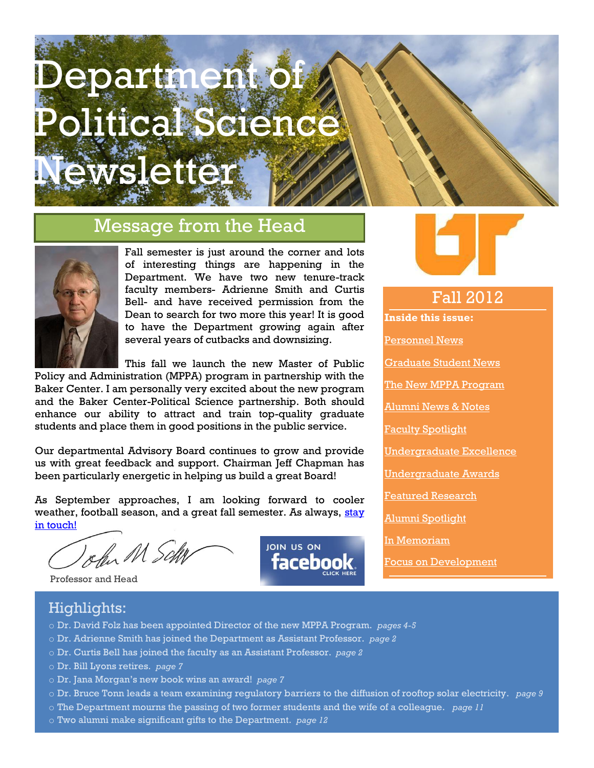# Department of Political Science Newsletter

#### Message from the Head



Fall semester is just around the corner and lots of interesting things are happening in the Department. We have two new tenure-track faculty members- Adrienne Smith and Curtis Bell- and have received permission from the Dean to search for two more this year! It is good to have the Department growing again after several years of cutbacks and downsizing.

This fall we launch the new Master of Public Policy and Administration (MPPA) program in partnership with the Baker Center. I am personally very excited about the new program and the Baker Center-Political Science partnership. Both should enhance our ability to attract and train top-quality graduate students and place them in good positions in the public service.

Our departmental Advisory Board continues to grow and provide us with great feedback and support. Chairman Jeff Chapman has been particularly energetic in helping us build a great Board!

As September approaches, I am looking forward to cooler weather, football season, and a great fall semester. As always, stay [in touch!](mailto:scheb@utk.edu)

John M Sch

Professor and Head





#### Fall 2012

**Inside this issue:** [Personnel News](#page-1-0) [Graduate Student News](#page-2-0) [The New MPPA Program](#page-3-0) [Alumni News & Notes](#page-5-0) [Faculty Spotlight](#page-6-0) [Undergraduate Excellence](#page-7-0) [Undergraduate Awards](#page-8-0) [Featured Research](#page-8-1) [Alumni Spotlight](#page-9-0) [In Memoriam](#page-9-1) [Focus on Development](#page-11-0)

#### Highlights:

- o Dr. David Folz has been appointed Director of the new MPPA Program. *pages 4-5*
- o Dr. Adrienne Smith has joined the Department as Assistant Professor. *page 2*
- o Dr. Curtis Bell has joined the faculty as an Assistant Professor. *page 2*
- o Dr. Bill Lyons retires. *page 7*
- o Dr. Jana Morgan's new book wins an award! *page 7*
- o Dr. Bruce Tonn leads a team examining regulatory barriers to the diffusion of rooftop solar electricity. *page 9*
- o The Department mourns the passing of two former students and the wife of a colleague. *page 11*
- o Two alumni make significant gifts to the Department. *page 12*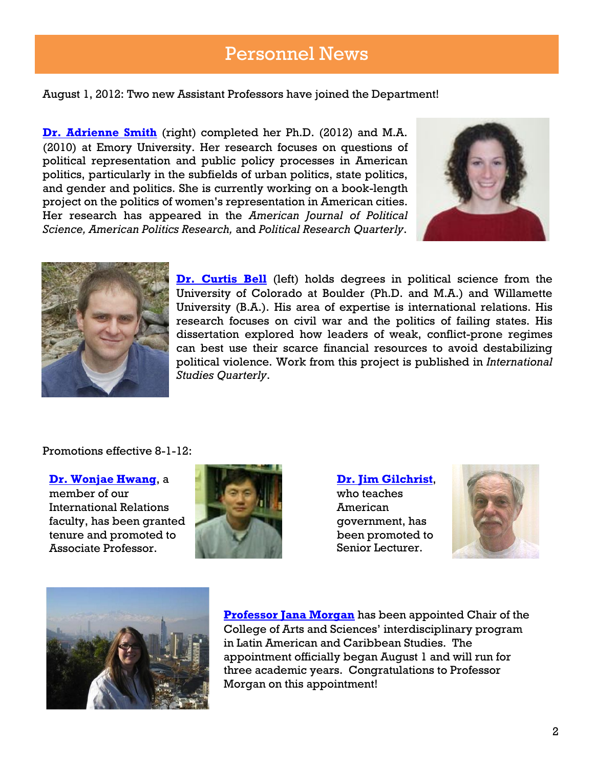#### Personnel News

<span id="page-1-0"></span>August 1, 2012: Two new Assistant Professors have joined the Department!

**[Dr. Adrienne Smith](mailto:asmit240@utk.edu)** (right) completed her Ph.D. (2012) and M.A. (2010) at Emory University. Her research focuses on questions of political representation and public policy processes in American politics, particularly in the subfields of urban politics, state politics, and gender and politics. She is currently working on a book-length project on the politics of women's representation in American cities. Her research has appeared in the *American Journal of Political Science, American Politics Research,* and *Political Research Quarterly*.





**[Dr. Curtis Bell](mailto:curtis.bell@tennessee.edu)** (left) holds degrees in political science from the University of Colorado at Boulder (Ph.D. and M.A.) and Willamette University (B.A.). His area of expertise is international relations. His research focuses on civil war and the politics of failing states. His dissertation explored how leaders of weak, conflict-prone regimes can best use their scarce financial resources to avoid destabilizing political violence. Work from this project is published in *International Studies Quarterly*.

Promotions effective 8-1-12:

**[Dr. Wonjae Hwang](mailto:whwang@utk.edu)**, a

member of our International Relations faculty, has been granted tenure and promoted to Associate Professor.



**[Dr. Jim Gilchrist](mailto:jgilchri@utk.edu)**, who teaches American government, has been promoted to Senior Lecturer.





College of Arts and Sciences' interdisciplinary program **[Professor Jana Morgan](mailto:janamorgan@utk.edu)** has been appointed Chair of the in Latin American and Caribbean Studies. The appointment officially began August 1 and will run for three academic years. Congratulations to Professor Morgan on this appointment!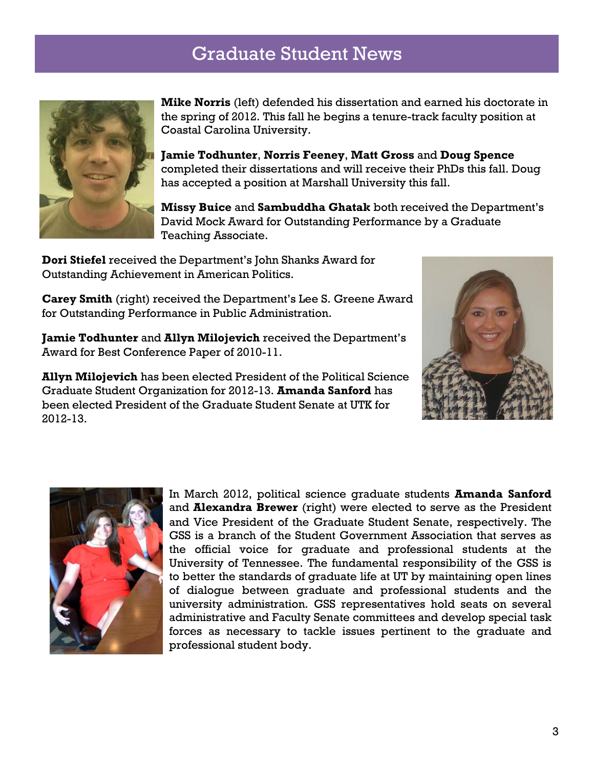# Graduate Student News

<span id="page-2-0"></span>

**Mike Norris** (left) defended his dissertation and earned his doctorate in the spring of 2012. This fall he begins a tenure-track faculty position at Coastal Carolina University.

**Jamie Todhunter**, **Norris Feeney**, **Matt Gross** and **Doug Spence** completed their dissertations and will receive their PhDs this fall. Doug has accepted a position at Marshall University this fall.

**Missy Buice** and **Sambuddha Ghatak** both received the Department's David Mock Award for Outstanding Performance by a Graduate Teaching Associate.

**Dori Stiefel** received the Department's John Shanks Award for Outstanding Achievement in American Politics.

**Carey Smith** (right) received the Department's Lee S. Greene Award for Outstanding Performance in Public Administration.

**Jamie Todhunter** and **Allyn Milojevich** received the Department's Award for Best Conference Paper of 2010-11.



**Allyn Milojevich** has been elected President of the Political Science Graduate Student Organization for 2012-13. **Amanda Sanford** has been elected President of the Graduate Student Senate at UTK for 2012-13.



In March 2012, political science graduate students **Amanda Sanford** and **Alexandra Brewer** (right) were elected to serve as the President and Vice President of the Graduate Student Senate, respectively. The GSS is a branch of the Student Government Association that serves as the official voice for graduate and professional students at the University of Tennessee. The fundamental responsibility of the GSS is to better the standards of graduate life at UT by maintaining open lines of dialogue between graduate and professional students and the university administration. GSS representatives hold seats on several administrative and Faculty Senate committees and develop special task forces as necessary to tackle issues pertinent to the graduate and professional student body.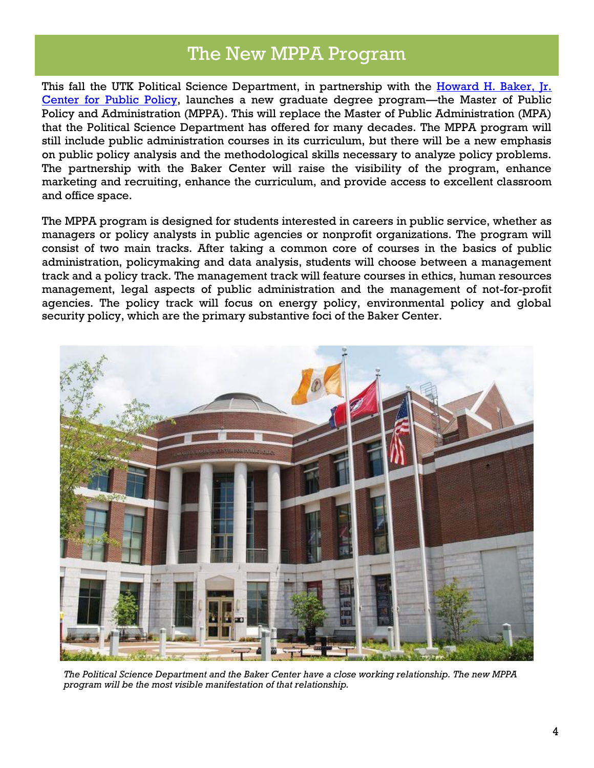## The New MPPA Program

<span id="page-3-0"></span>This fall the UTK Political Science Department, in partnership with the Howard H. Baker, Ir. [Center for Public Policy,](http://bakercenter.utk.edu/) launches a new graduate degree program—the Master of Public Policy and Administration (MPPA). This will replace the Master of Public Administration (MPA) that the Political Science Department has offered for many decades. The MPPA program will still include public administration courses in its curriculum, but there will be a new emphasis on public policy analysis and the methodological skills necessary to analyze policy problems. The partnership with the Baker Center will raise the visibility of the program, enhance marketing and recruiting, enhance the curriculum, and provide access to excellent classroom and office space.

The MPPA program is designed for students interested in careers in public service, whether as managers or policy analysts in public agencies or nonprofit organizations. The program will consist of two main tracks. After taking a common core of courses in the basics of public administration, policymaking and data analysis, students will choose between a management track and a policy track. The management track will feature courses in ethics, human resources management, legal aspects of public administration and the management of not-for-profit agencies. The policy track will focus on energy policy, environmental policy and global security policy, which are the primary substantive foci of the Baker Center.



*The Political Science Department and the Baker Center have a close working relationship. The new MPPA program will be the most visible manifestation of that relationship.*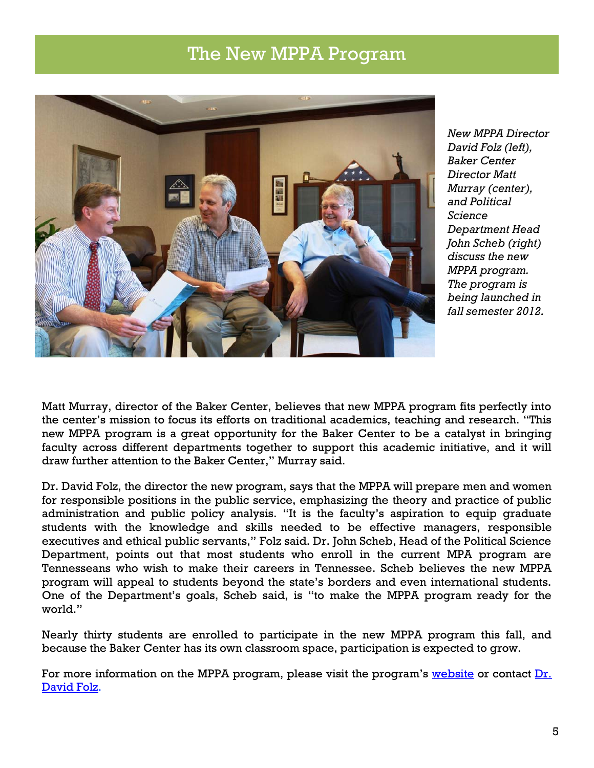## The New MPPA Program



*New MPPA Director David Folz (left), Baker Center Director Matt Murray (center), and Political Science Department Head John Scheb (right) discuss the new MPPA program. The program is being launched in fall semester 2012.*

Matt Murray, director of the Baker Center, believes that new MPPA program fits perfectly into the center's mission to focus its efforts on traditional academics, teaching and research. "This new MPPA program is a great opportunity for the Baker Center to be a catalyst in bringing faculty across different departments together to support this academic initiative, and it will draw further attention to the Baker Center," Murray said.

Dr. David Folz, the director the new program, says that the MPPA will prepare men and women for responsible positions in the public service, emphasizing the theory and practice of public administration and public policy analysis. "It is the faculty's aspiration to equip graduate students with the knowledge and skills needed to be effective managers, responsible executives and ethical public servants," Folz said. Dr. John Scheb, Head of the Political Science Department, points out that most students who enroll in the current MPA program are Tennesseans who wish to make their careers in Tennessee. Scheb believes the new MPPA program will appeal to students beyond the state's borders and even international students. One of the Department's goals, Scheb said, is "to make the MPPA program ready for the world."

Nearly thirty students are enrolled to participate in the new MPPA program this fall, and because the Baker Center has its own classroom space, participation is expected to grow.

For more information on the MPPA program, please visit the program's [website](http://web.utk.edu/~polisci/mppa.php) or contact Dr. [David Folz.](mailto:dfolz@utk.edu)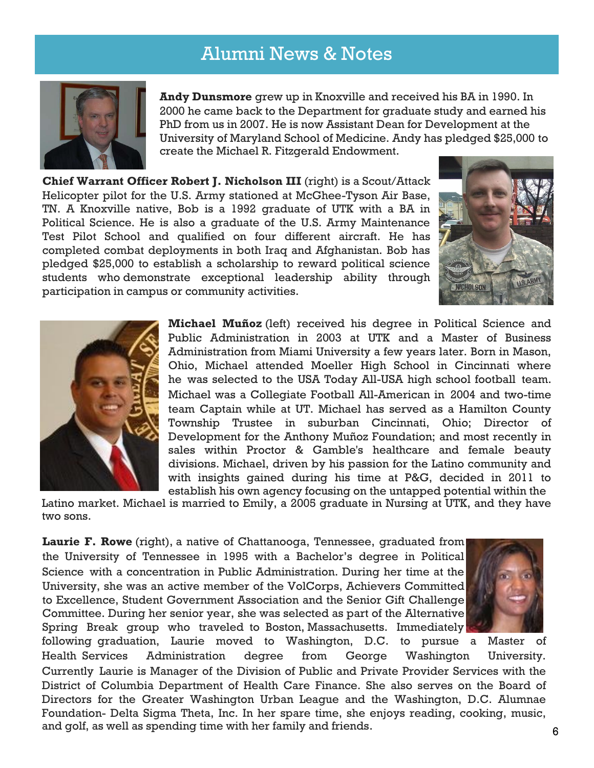## Alumni News & Notes

<span id="page-5-0"></span>

**Andy Dunsmore** grew up in Knoxville and received his BA in 1990. In 2000 he came back to the Department for graduate study and earned his PhD from us in 2007. He is now Assistant Dean for Development at the University of Maryland School of Medicine. Andy has pledged \$25,000 to create the Michael R. Fitzgerald Endowment.

**Chief Warrant Officer Robert J. Nicholson III** (right) is a Scout/Attack Helicopter pilot for the U.S. Army stationed at McGhee-Tyson Air Base, TN. A Knoxville native, Bob is a 1992 graduate of UTK with a BA in Political Science. He is also a graduate of the U.S. Army Maintenance Test Pilot School and qualified on four different aircraft. He has completed combat deployments in both Iraq and Afghanistan. Bob has pledged \$25,000 to establish a scholarship to reward political science students who demonstrate exceptional leadership ability through participation in campus or community activities.





**Michael Muñoz** (left) received his degree in Political Science and Public Administration in 2003 at UTK and a Master of Business Administration from Miami University a few years later. Born in Mason, Ohio, Michael attended Moeller High School in Cincinnati where he was selected to the USA Today All-USA high school football team. Michael was a Collegiate Football All-American in 2004 and two-time team Captain while at UT. Michael has served as a Hamilton County Township Trustee in suburban Cincinnati, Ohio; Director of Development for the Anthony Muñoz Foundation; and most recently in sales within Proctor & Gamble's healthcare and female beauty divisions. Michael, driven by his passion for the Latino community and with insights gained during his time at P&G, decided in 2011 to establish his own agency focusing on the untapped potential within the

Latino market. Michael is married to Emily, a 2005 graduate in Nursing at UTK, and they have two sons.

**Laurie F. Rowe** (right), a native of Chattanooga, Tennessee, graduated from the University of Tennessee in 1995 with a Bachelor's degree in Political Science with a concentration in Public Administration. During her time at the University, she was an active member of the VolCorps, Achievers Committed to Excellence, Student Government Association and the Senior Gift Challenge Committee. During her senior year, she was selected as part of the Alternative Spring Break group who traveled to Boston, Massachusetts. Immediately



following graduation, Laurie moved to Washington, D.C. to pursue a Master of Health Services Administration degree from George Washington University. Currently Laurie is Manager of the Division of Public and Private Provider Services with the District of Columbia Department of Health Care Finance. She also serves on the Board of Directors for the Greater Washington Urban League and the Washington, D.C. Alumnae Foundation- Delta Sigma Theta, Inc. In her spare time, she enjoys reading, cooking, music, and golf, as well as spending time with her family and friends.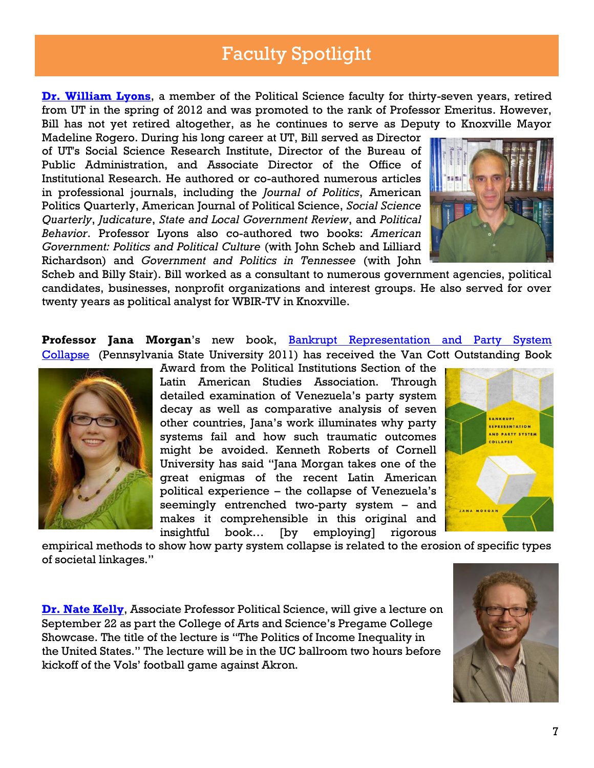# Faculty Spotlight

<span id="page-6-0"></span>**[Dr. William Lyons](mailto:wlyons@utk.edu)**, a member of the Political Science faculty for thirty-seven years, retired from UT in the spring of 2012 and was promoted to the rank of Professor Emeritus. However, Bill has not yet retired altogether, as he continues to serve as Deputy to Knoxville Mayor

Madeline Rogero. During his long career at UT, Bill served as Director of UT's Social Science Research Institute, Director of the Bureau of Public Administration, and Associate Director of the Office of Institutional Research. He authored or co-authored numerous articles in professional journals, including the *Journal of Politics*, American Politics Quarterly, American Journal of Political Science, *Social Science Quarterly*, *Judicature*, *State and Local Government Review*, and *Political Behavior*. Professor Lyons also co-authored two books: *American Government: Politics and Political Culture* (with John Scheb and Lilliard Richardson) and *Government and Politics in Tennessee* (with John



Scheb and Billy Stair). Bill worked as a consultant to numerous government agencies, political candidates, businesses, nonprofit organizations and interest groups. He also served for over twenty years as political analyst for WBIR-TV in Knoxville.

**Professor Jana Morgan's** new book, **Bankrupt Representation and Party System** [Collapse](http://www.amazon.com/gp/product/0271050624/ref=as_li_tf_tl?ie=UTF8&tag=nathkellwebs-20&linkCode=as2&camp=217145&creative=399373&creativeASIN=0271050624%22%3EBankrupt%20Representation%20and%20Party%20System%20Collapse%3C/a%3E%3Cimg%20src=%22http://www.assoc-amazon.com/e/ir?t=nathkellwebs-20&l=as2&o=1&a=0271050624&camp=217145&creative=399373%22%20width=%221%22%20height=%221%22%20border=%220%22%20alt=%22%22%20style=%22border:none%20!important;%20margin:0px%20!important;%22%20/%3E) (Pennsylvania State University 2011) has received the Van Cott Outstanding Book



Award from the Political Institutions Section of the Latin American Studies Association. Through detailed examination of Venezuela's party system decay as well as comparative analysis of seven other countries, Jana's work illuminates why party systems fail and how such traumatic outcomes might be avoided. Kenneth Roberts of Cornell University has said "Jana Morgan takes one of the great enigmas of the recent Latin American political experience – the collapse of Venezuela's seemingly entrenched two-party system – and makes it comprehensible in this original and insightful book… [by employing] rigorous



empirical methods to show how party system collapse is related to the erosion of specific types of societal linkages."

**[Dr. Nate Kelly](mailto:nkelly@utk.edu)**, Associate Professor Political Science, will give a lecture on September 22 as part the College of Arts and Science's Pregame College Showcase. The title of the lecture is "The Politics of Income Inequality in the United States." The lecture will be in the UC ballroom two hours before kickoff of the Vols' football game against Akron.

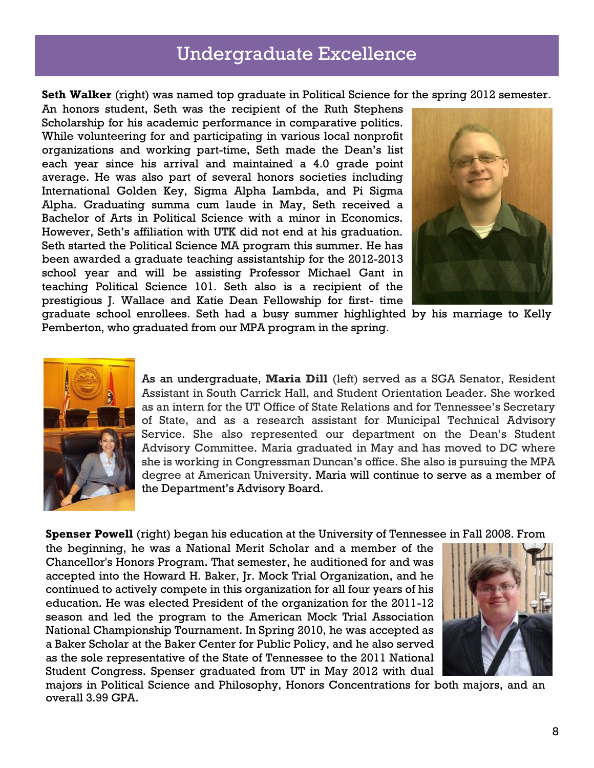#### Undergraduate Excellence

<span id="page-7-0"></span>**Seth Walker** (right) was named top graduate in Political Science for the spring 2012 semester.

An honors student, Seth was the recipient of the Ruth Stephens Scholarship for his academic performance in comparative politics. While volunteering for and participating in various local nonprofit organizations and working part-time, Seth made the Dean's list each year since his arrival and maintained a 4.0 grade point average. He was also part of several honors societies including International Golden Key, Sigma Alpha Lambda, and Pi Sigma Alpha. Graduating summa cum laude in May, Seth received a Bachelor of Arts in Political Science with a minor in Economics. However, Seth's affiliation with UTK did not end at his graduation. Seth started the Political Science MA program this summer. He has been awarded a graduate teaching assistantship for the 2012-2013 school year and will be assisting Professor Michael Gant in teaching Political Science 101. Seth also is a recipient of the prestigious J. Wallace and Katie Dean Fellowship for first- time



graduate school enrollees. Seth had a busy summer highlighted by his marriage to Kelly Pemberton, who graduated from our MPA program in the spring.



As an undergraduate, **Maria Dill** (left) served as a SGA Senator, Resident Assistant in South Carrick Hall, and Student Orientation Leader. She worked as an intern for the UT Office of State Relations and for Tennessee's Secretary of State, and as a research assistant for Municipal Technical Advisory Service. She also represented our department on the Dean's Student Advisory Committee. Maria graduated in May and has moved to DC where she is working in Congressman Duncan's office. She also is pursuing the MPA degree at American University. Maria will continue to serve as a member of the Department's Advisory Board.

**Spenser Powell** (right) began his education at the University of Tennessee in Fall 2008. From

the beginning, he was a National Merit Scholar and a member of the Chancellor's Honors Program. That semester, he auditioned for and was accepted into the Howard H. Baker, Jr. Mock Trial Organization, and he continued to actively compete in this organization for all four years of his education. He was elected President of the organization for the 2011-12 season and led the program to the American Mock Trial Association National Championship Tournament. In Spring 2010, he was accepted as a Baker Scholar at the Baker Center for Public Policy, and he also served as the sole representative of the State of Tennessee to the 2011 National Student Congress. Spenser graduated from UT in May 2012 with dual



majors in Political Science and Philosophy, Honors Concentrations for both majors, and an overall 3.99 GPA.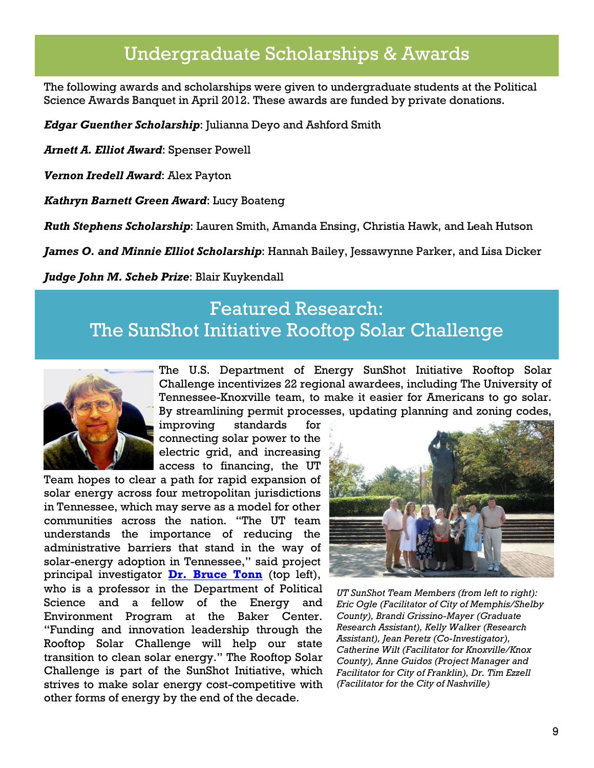## <span id="page-8-0"></span>Undergraduate Scholarships & Awards

The following awards and scholarships were given to undergraduate students at the Political Science Awards Banquet in April 2012. These awards are funded by private donations.

*Edgar Guenther Scholarship*: Julianna Deyo and Ashford Smith

*Arnett A. Elliot Award*: Spenser Powell

*Vernon Iredell Award*: Alex Payton

*Kathryn Barnett Green Award*: Lucy Boateng

*Ruth Stephens Scholarship*: Lauren Smith, Amanda Ensing, Christia Hawk, and Leah Hutson

*James O. and Minnie Elliot Scholarship*: Hannah Bailey, Jessawynne Parker, and Lisa Dicker

<span id="page-8-1"></span>*Judge John M. Scheb Prize*: Blair Kuykendall

## Featured Research: The SunShot Initiative Rooftop Solar Challenge



The U.S. Department of Energy SunShot Initiative Rooftop Solar Challenge incentivizes 22 regional awardees, including The University of Tennessee-Knoxville team, to make it easier for Americans to go solar. By streamlining permit processes, updating planning and zoning codes,

improving standards for connecting solar power to the electric grid, and increasing access to financing, the UT

Team hopes to clear a path for rapid expansion of solar energy across four metropolitan jurisdictions in Tennessee, which may serve as a model for other communities across the nation. "The UT team understands the importance of reducing the administrative barriers that stand in the way of solar-energy adoption in Tennessee," said project principal investigator **[Dr. Bruce Tonn](mailto:btonn@utk.edu)** (top left), who is a professor in the Department of Political Science and a fellow of the Energy and Environment Program at the Baker Center. "Funding and innovation leadership through the Rooftop Solar Challenge will help our state transition to clean solar energy." The Rooftop Solar Challenge is part of the SunShot Initiative, which strives to make solar energy cost-competitive with other forms of energy by the end of the decade.



*UT SunShot Team Members (from left to right): Eric Ogle (Facilitator of City of Memphis/Shelby County), Brandi Grissino-Mayer (Graduate Research Assistant), Kelly Walker (Research Assistant), Jean Peretz (Co-Investigator), Catherine Wilt (Facilitator for Knoxville/Knox County), Anne Guidos (Project Manager and Facilitator for City of Franklin), Dr. Tim Ezzell (Facilitator for the City of Nashville)*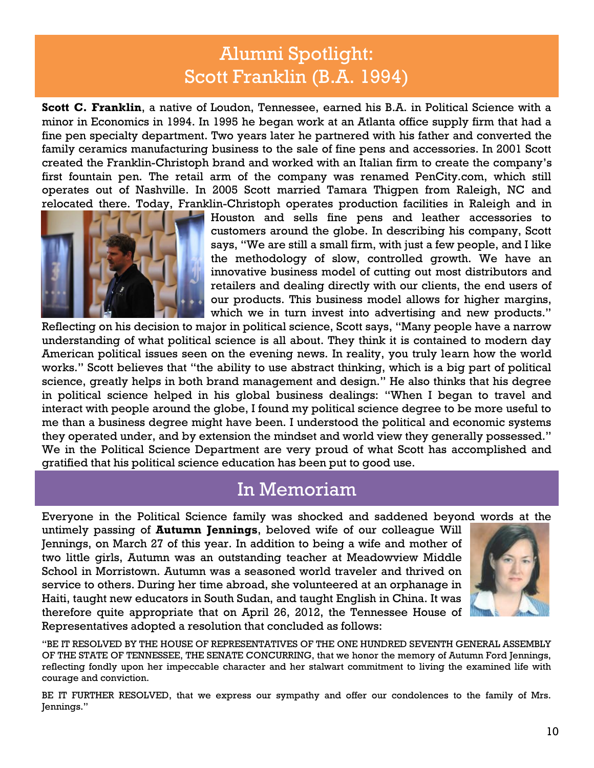# Alumni Spotlight: Scott Franklin (B.A. 1994)

<span id="page-9-0"></span>**Scott C. Franklin**, a native of Loudon, Tennessee, earned his B.A. in Political Science with a minor in Economics in 1994. In 1995 he began work at an Atlanta office supply firm that had a fine pen specialty department. Two years later he partnered with his father and converted the family ceramics manufacturing business to the sale of fine pens and accessories. In 2001 Scott created the Franklin-Christoph brand and worked with an Italian firm to create the company's first fountain pen. The retail arm of the company was renamed PenCity.com, which still operates out of Nashville. In 2005 Scott married Tamara Thigpen from Raleigh, NC and relocated there. Today, Franklin-Christoph operates production facilities in Raleigh and in



Houston and sells fine pens and leather accessories to customers around the globe. In describing his company, Scott says, "We are still a small firm, with just a few people, and I like the methodology of slow, controlled growth. We have an innovative business model of cutting out most distributors and retailers and dealing directly with our clients, the end users of our products. This business model allows for higher margins, which we in turn invest into advertising and new products."

Reflecting on his decision to major in political science, Scott says, "Many people have a narrow understanding of what political science is all about. They think it is contained to modern day American political issues seen on the evening news. In reality, you truly learn how the world works." Scott believes that "the ability to use abstract thinking, which is a big part of political science, greatly helps in both brand management and design." He also thinks that his degree in political science helped in his global business dealings: "When I began to travel and interact with people around the globe, I found my political science degree to be more useful to me than a business degree might have been. I understood the political and economic systems they operated under, and by extension the mindset and world view they generally possessed." We in the Political Science Department are very proud of what Scott has accomplished and gratified that his political science education has been put to good use.

#### In Memoriam

<span id="page-9-1"></span>Everyone in the Political Science family was shocked and saddened beyond words at the

untimely passing of **Autumn Jennings**, beloved wife of our colleague Will Jennings, on March 27 of this year. In addition to being a wife and mother of two little girls, Autumn was an outstanding teacher at Meadowview Middle School in Morristown. Autumn was a seasoned world traveler and thrived on service to others. During her time abroad, she volunteered at an orphanage in Haiti, taught new educators in South Sudan, and taught English in China. It was therefore quite appropriate that on April 26, 2012, the Tennessee House of Representatives adopted a resolution that concluded as follows:



"BE IT RESOLVED BY THE HOUSE OF REPRESENTATIVES OF THE ONE HUNDRED SEVENTH GENERAL ASSEMBLY OF THE STATE OF TENNESSEE, THE SENATE CONCURRING, that we honor the memory of Autumn Ford Jennings, reflecting fondly upon her impeccable character and her stalwart commitment to living the examined life with courage and conviction.

BE IT FURTHER RESOLVED, that we express our sympathy and offer our condolences to the family of Mrs. Jennings."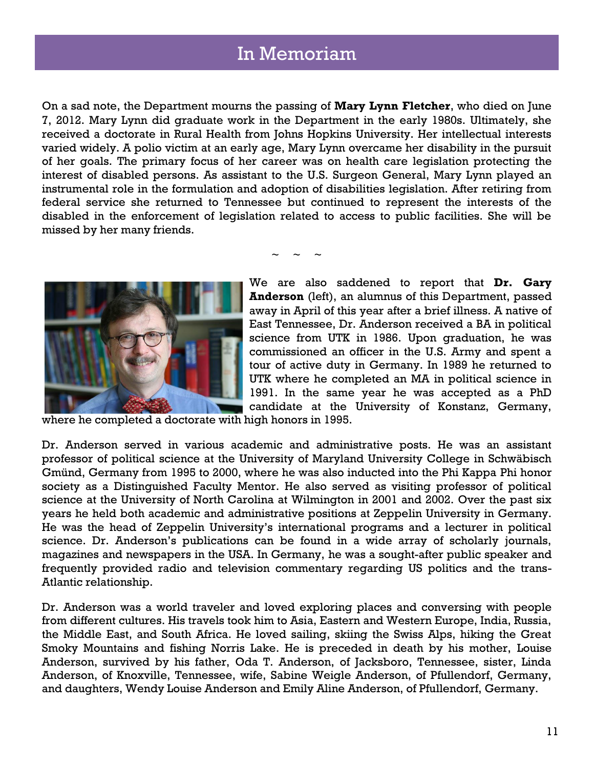### In Memoriam

On a sad note, the Department mourns the passing of **Mary Lynn Fletcher**, who died on June 7, 2012. Mary Lynn did graduate work in the Department in the early 1980s. Ultimately, she received a doctorate in Rural Health from Johns Hopkins University. Her intellectual interests varied widely. A polio victim at an early age, Mary Lynn overcame her disability in the pursuit of her goals. The primary focus of her career was on health care legislation protecting the interest of disabled persons. As assistant to the U.S. Surgeon General, Mary Lynn played an instrumental role in the formulation and adoption of disabilities legislation. After retiring from federal service she returned to Tennessee but continued to represent the interests of the disabled in the enforcement of legislation related to access to public facilities. She will be missed by her many friends.

 $\sim$   $\sim$   $\sim$ 



We are also saddened to report that **Dr. Gary Anderson** (left), an alumnus of this Department, passed away in April of this year after a brief illness. A native of East Tennessee, Dr. Anderson received a BA in political science from UTK in 1986. Upon graduation, he was commissioned an officer in the U.S. Army and spent a tour of active duty in Germany. In 1989 he returned to UTK where he completed an MA in political science in 1991. In the same year he was accepted as a PhD candidate at the University of Konstanz, Germany,

where he completed a doctorate with high honors in 1995.

Dr. Anderson served in various academic and administrative posts. He was an assistant professor of political science at the University of Maryland University College in Schwäbisch Gmünd, Germany from 1995 to 2000, where he was also inducted into the Phi Kappa Phi honor society as a Distinguished Faculty Mentor. He also served as visiting professor of political science at the University of North Carolina at Wilmington in 2001 and 2002. Over the past six years he held both academic and administrative positions at Zeppelin University in Germany. He was the head of Zeppelin University's international programs and a lecturer in political science. Dr. Anderson's publications can be found in a wide array of scholarly journals, magazines and newspapers in the USA. In Germany, he was a sought-after public speaker and frequently provided radio and television commentary regarding US politics and the trans-Atlantic relationship.

Dr. Anderson was a world traveler and loved exploring places and conversing with people from different cultures. His travels took him to Asia, Eastern and Western Europe, India, Russia, the Middle East, and South Africa. He loved sailing, skiing the Swiss Alps, hiking the Great Smoky Mountains and fishing Norris Lake. He is preceded in death by his mother, Louise Anderson, survived by his father, Oda T. Anderson, of Jacksboro, Tennessee, sister, Linda Anderson, of Knoxville, Tennessee, wife, Sabine Weigle Anderson, of Pfullendorf, Germany, and daughters, Wendy Louise Anderson and Emily Aline Anderson, of Pfullendorf, Germany.